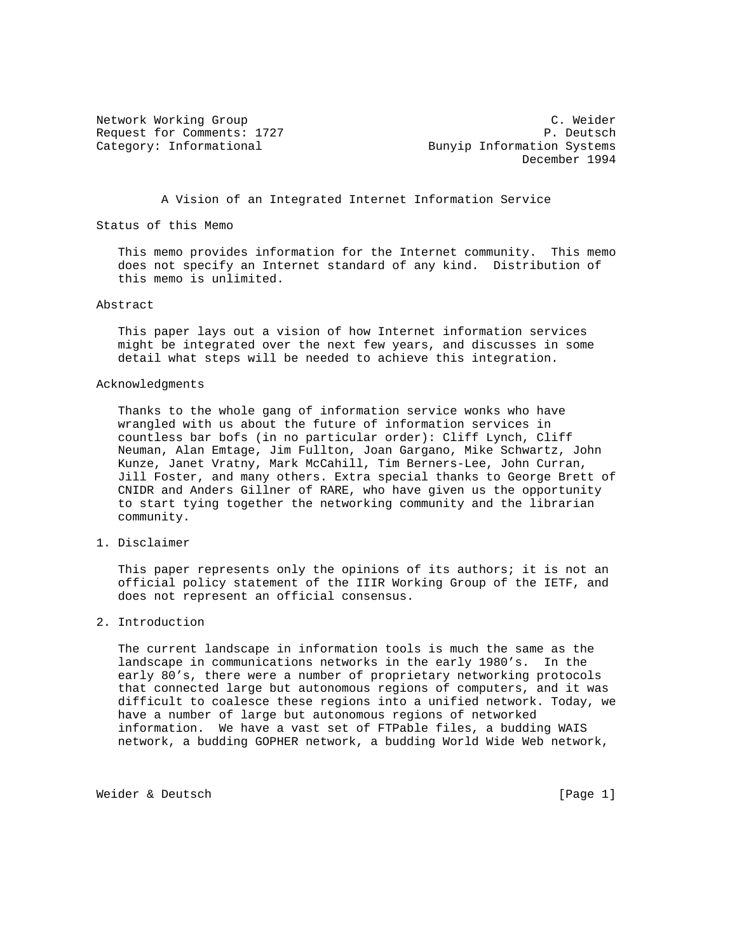Network Working Group C. Weider Request for Comments: 1727 P. Deutsch Category: Informational Bunyip Information Systems December 1994

A Vision of an Integrated Internet Information Service

Status of this Memo

 This memo provides information for the Internet community. This memo does not specify an Internet standard of any kind. Distribution of this memo is unlimited.

## Abstract

 This paper lays out a vision of how Internet information services might be integrated over the next few years, and discusses in some detail what steps will be needed to achieve this integration.

## Acknowledgments

 Thanks to the whole gang of information service wonks who have wrangled with us about the future of information services in countless bar bofs (in no particular order): Cliff Lynch, Cliff Neuman, Alan Emtage, Jim Fullton, Joan Gargano, Mike Schwartz, John Kunze, Janet Vratny, Mark McCahill, Tim Berners-Lee, John Curran, Jill Foster, and many others. Extra special thanks to George Brett of CNIDR and Anders Gillner of RARE, who have given us the opportunity to start tying together the networking community and the librarian community.

1. Disclaimer

 This paper represents only the opinions of its authors; it is not an official policy statement of the IIIR Working Group of the IETF, and does not represent an official consensus.

2. Introduction

 The current landscape in information tools is much the same as the landscape in communications networks in the early 1980's. In the early 80's, there were a number of proprietary networking protocols that connected large but autonomous regions of computers, and it was difficult to coalesce these regions into a unified network. Today, we have a number of large but autonomous regions of networked information. We have a vast set of FTPable files, a budding WAIS network, a budding GOPHER network, a budding World Wide Web network,

Weider & Deutsch [Page 1]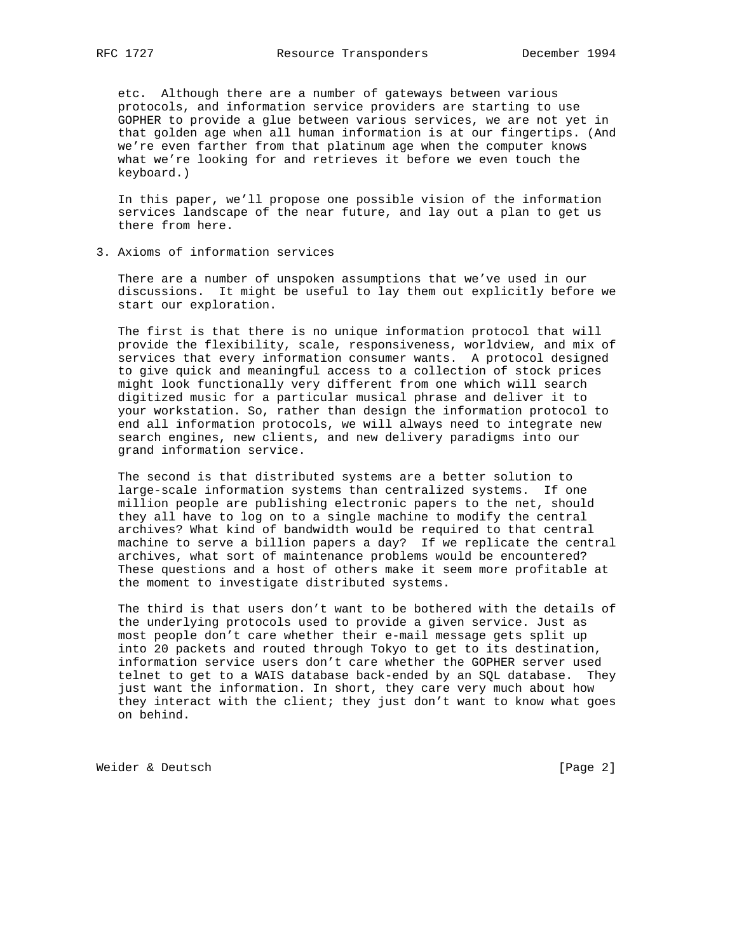etc. Although there are a number of gateways between various protocols, and information service providers are starting to use GOPHER to provide a glue between various services, we are not yet in that golden age when all human information is at our fingertips. (And we're even farther from that platinum age when the computer knows what we're looking for and retrieves it before we even touch the keyboard.)

 In this paper, we'll propose one possible vision of the information services landscape of the near future, and lay out a plan to get us there from here.

3. Axioms of information services

 There are a number of unspoken assumptions that we've used in our discussions. It might be useful to lay them out explicitly before we start our exploration.

 The first is that there is no unique information protocol that will provide the flexibility, scale, responsiveness, worldview, and mix of services that every information consumer wants. A protocol designed to give quick and meaningful access to a collection of stock prices might look functionally very different from one which will search digitized music for a particular musical phrase and deliver it to your workstation. So, rather than design the information protocol to end all information protocols, we will always need to integrate new search engines, new clients, and new delivery paradigms into our grand information service.

 The second is that distributed systems are a better solution to large-scale information systems than centralized systems. If one million people are publishing electronic papers to the net, should they all have to log on to a single machine to modify the central archives? What kind of bandwidth would be required to that central machine to serve a billion papers a day? If we replicate the central archives, what sort of maintenance problems would be encountered? These questions and a host of others make it seem more profitable at the moment to investigate distributed systems.

 The third is that users don't want to be bothered with the details of the underlying protocols used to provide a given service. Just as most people don't care whether their e-mail message gets split up into 20 packets and routed through Tokyo to get to its destination, information service users don't care whether the GOPHER server used telnet to get to a WAIS database back-ended by an SQL database. They just want the information. In short, they care very much about how they interact with the client; they just don't want to know what goes on behind.

Weider & Deutsch [Page 2]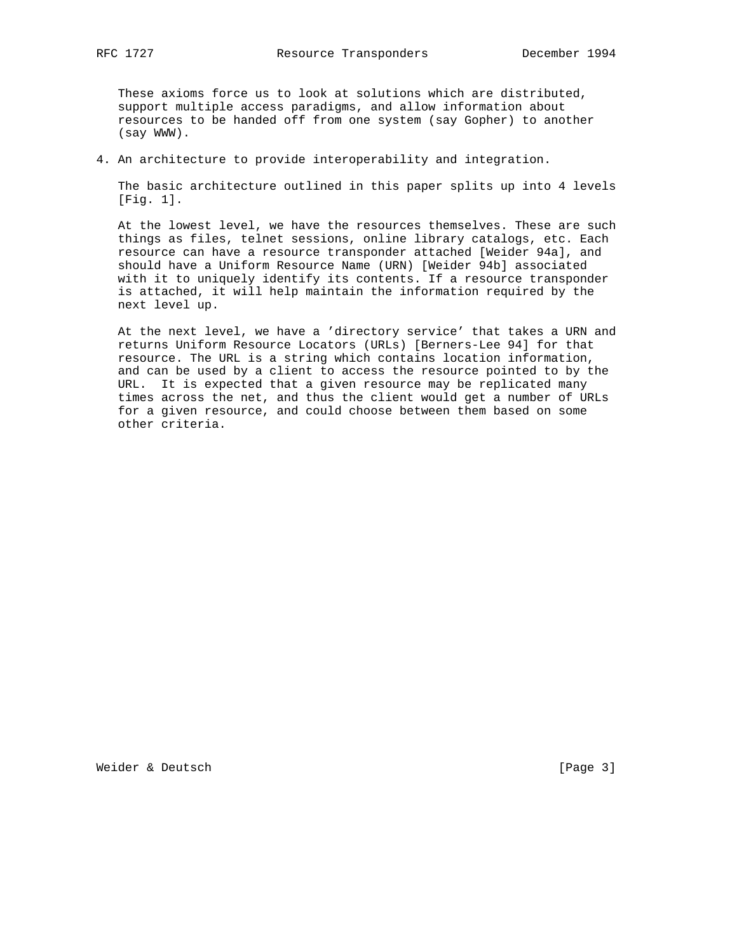These axioms force us to look at solutions which are distributed, support multiple access paradigms, and allow information about resources to be handed off from one system (say Gopher) to another (say WWW).

4. An architecture to provide interoperability and integration.

 The basic architecture outlined in this paper splits up into 4 levels [Fig. 1].

 At the lowest level, we have the resources themselves. These are such things as files, telnet sessions, online library catalogs, etc. Each resource can have a resource transponder attached [Weider 94a], and should have a Uniform Resource Name (URN) [Weider 94b] associated with it to uniquely identify its contents. If a resource transponder is attached, it will help maintain the information required by the next level up.

 At the next level, we have a 'directory service' that takes a URN and returns Uniform Resource Locators (URLs) [Berners-Lee 94] for that resource. The URL is a string which contains location information, and can be used by a client to access the resource pointed to by the URL. It is expected that a given resource may be replicated many times across the net, and thus the client would get a number of URLs for a given resource, and could choose between them based on some other criteria.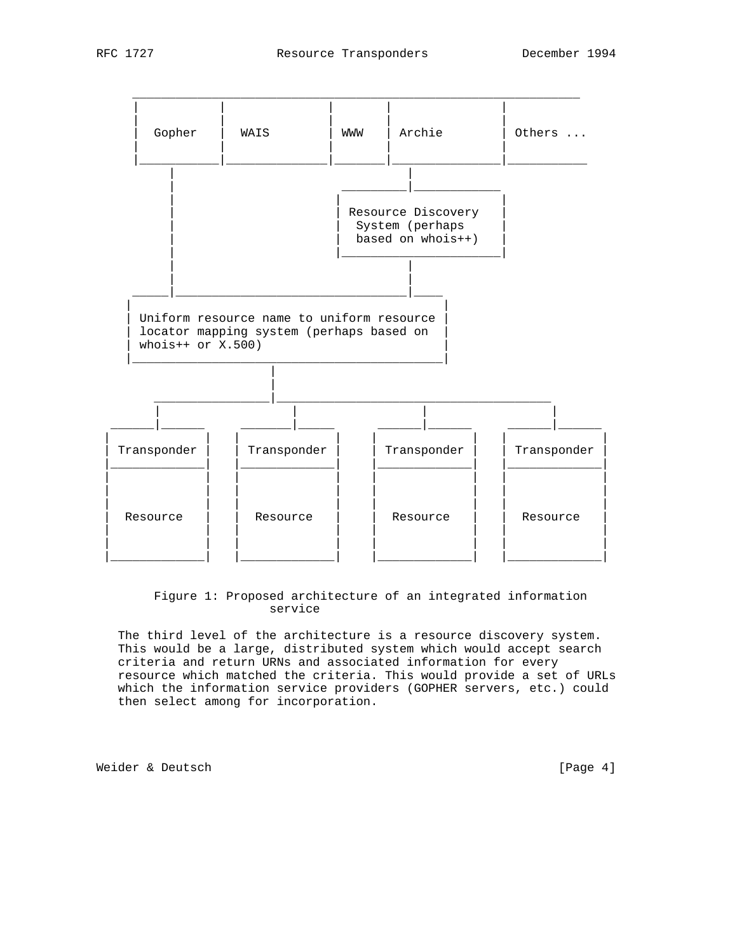

 Figure 1: Proposed architecture of an integrated information service

 The third level of the architecture is a resource discovery system. This would be a large, distributed system which would accept search criteria and return URNs and associated information for every resource which matched the criteria. This would provide a set of URLs which the information service providers (GOPHER servers, etc.) could then select among for incorporation.

Weider & Deutsch [Page 4]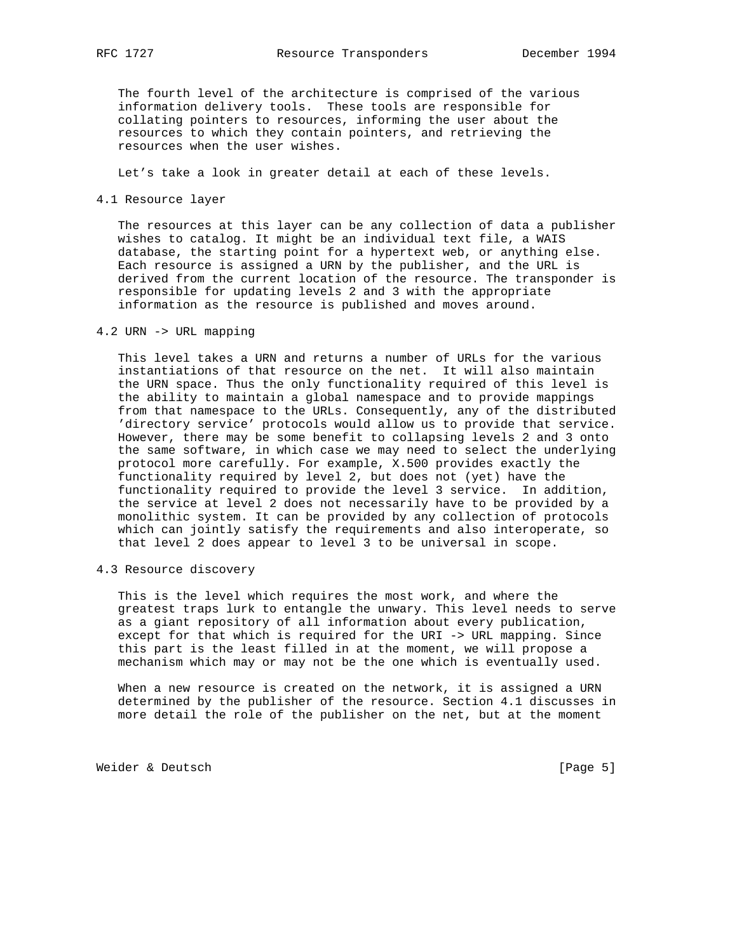The fourth level of the architecture is comprised of the various information delivery tools. These tools are responsible for collating pointers to resources, informing the user about the resources to which they contain pointers, and retrieving the resources when the user wishes.

Let's take a look in greater detail at each of these levels.

### 4.1 Resource layer

 The resources at this layer can be any collection of data a publisher wishes to catalog. It might be an individual text file, a WAIS database, the starting point for a hypertext web, or anything else. Each resource is assigned a URN by the publisher, and the URL is derived from the current location of the resource. The transponder is responsible for updating levels 2 and 3 with the appropriate information as the resource is published and moves around.

# 4.2 URN -> URL mapping

 This level takes a URN and returns a number of URLs for the various instantiations of that resource on the net. It will also maintain the URN space. Thus the only functionality required of this level is the ability to maintain a global namespace and to provide mappings from that namespace to the URLs. Consequently, any of the distributed 'directory service' protocols would allow us to provide that service. However, there may be some benefit to collapsing levels 2 and 3 onto the same software, in which case we may need to select the underlying protocol more carefully. For example, X.500 provides exactly the functionality required by level 2, but does not (yet) have the functionality required to provide the level 3 service. In addition, the service at level 2 does not necessarily have to be provided by a monolithic system. It can be provided by any collection of protocols which can jointly satisfy the requirements and also interoperate, so that level 2 does appear to level 3 to be universal in scope.

4.3 Resource discovery

 This is the level which requires the most work, and where the greatest traps lurk to entangle the unwary. This level needs to serve as a giant repository of all information about every publication, except for that which is required for the URI -> URL mapping. Since this part is the least filled in at the moment, we will propose a mechanism which may or may not be the one which is eventually used.

When a new resource is created on the network, it is assigned a URN determined by the publisher of the resource. Section 4.1 discusses in more detail the role of the publisher on the net, but at the moment

Weider & Deutsch [Page 5]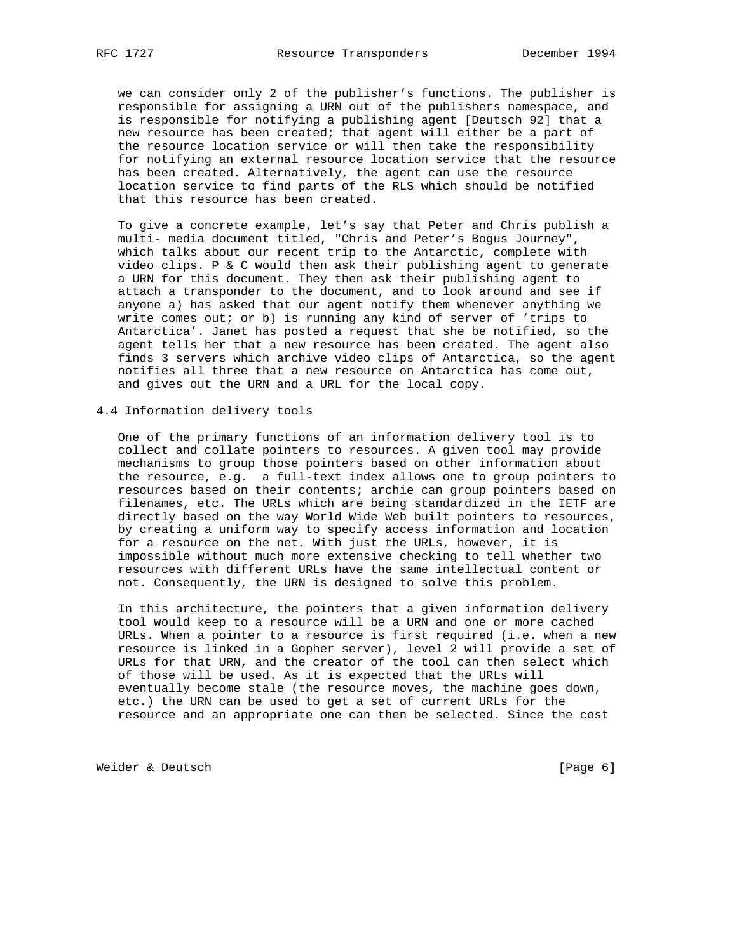we can consider only 2 of the publisher's functions. The publisher is responsible for assigning a URN out of the publishers namespace, and is responsible for notifying a publishing agent [Deutsch 92] that a new resource has been created; that agent will either be a part of the resource location service or will then take the responsibility for notifying an external resource location service that the resource has been created. Alternatively, the agent can use the resource location service to find parts of the RLS which should be notified that this resource has been created.

 To give a concrete example, let's say that Peter and Chris publish a multi- media document titled, "Chris and Peter's Bogus Journey", which talks about our recent trip to the Antarctic, complete with video clips. P & C would then ask their publishing agent to generate a URN for this document. They then ask their publishing agent to attach a transponder to the document, and to look around and see if anyone a) has asked that our agent notify them whenever anything we write comes out; or b) is running any kind of server of 'trips to Antarctica'. Janet has posted a request that she be notified, so the agent tells her that a new resource has been created. The agent also finds 3 servers which archive video clips of Antarctica, so the agent notifies all three that a new resource on Antarctica has come out, and gives out the URN and a URL for the local copy.

4.4 Information delivery tools

 One of the primary functions of an information delivery tool is to collect and collate pointers to resources. A given tool may provide mechanisms to group those pointers based on other information about the resource, e.g. a full-text index allows one to group pointers to resources based on their contents; archie can group pointers based on filenames, etc. The URLs which are being standardized in the IETF are directly based on the way World Wide Web built pointers to resources, by creating a uniform way to specify access information and location for a resource on the net. With just the URLs, however, it is impossible without much more extensive checking to tell whether two resources with different URLs have the same intellectual content or not. Consequently, the URN is designed to solve this problem.

 In this architecture, the pointers that a given information delivery tool would keep to a resource will be a URN and one or more cached URLs. When a pointer to a resource is first required (i.e. when a new resource is linked in a Gopher server), level 2 will provide a set of URLs for that URN, and the creator of the tool can then select which of those will be used. As it is expected that the URLs will eventually become stale (the resource moves, the machine goes down, etc.) the URN can be used to get a set of current URLs for the resource and an appropriate one can then be selected. Since the cost

Weider & Deutsch [Page 6]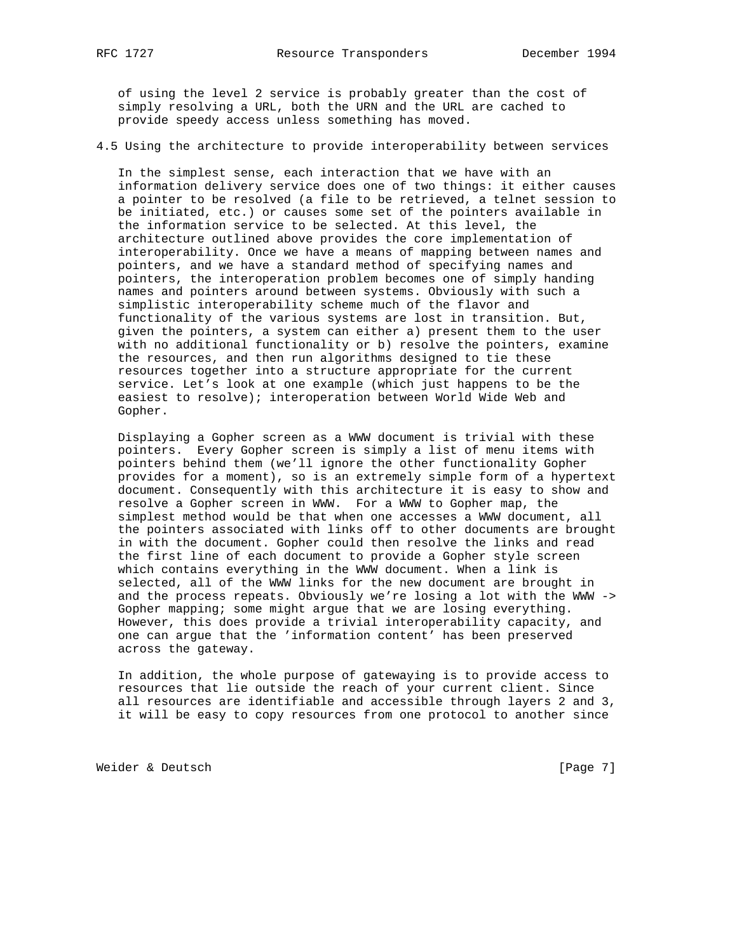of using the level 2 service is probably greater than the cost of simply resolving a URL, both the URN and the URL are cached to provide speedy access unless something has moved.

4.5 Using the architecture to provide interoperability between services

 In the simplest sense, each interaction that we have with an information delivery service does one of two things: it either causes a pointer to be resolved (a file to be retrieved, a telnet session to be initiated, etc.) or causes some set of the pointers available in the information service to be selected. At this level, the architecture outlined above provides the core implementation of interoperability. Once we have a means of mapping between names and pointers, and we have a standard method of specifying names and pointers, the interoperation problem becomes one of simply handing names and pointers around between systems. Obviously with such a simplistic interoperability scheme much of the flavor and functionality of the various systems are lost in transition. But, given the pointers, a system can either a) present them to the user with no additional functionality or b) resolve the pointers, examine the resources, and then run algorithms designed to tie these resources together into a structure appropriate for the current service. Let's look at one example (which just happens to be the easiest to resolve); interoperation between World Wide Web and Gopher.

 Displaying a Gopher screen as a WWW document is trivial with these pointers. Every Gopher screen is simply a list of menu items with pointers behind them (we'll ignore the other functionality Gopher provides for a moment), so is an extremely simple form of a hypertext document. Consequently with this architecture it is easy to show and resolve a Gopher screen in WWW. For a WWW to Gopher map, the simplest method would be that when one accesses a WWW document, all the pointers associated with links off to other documents are brought in with the document. Gopher could then resolve the links and read the first line of each document to provide a Gopher style screen which contains everything in the WWW document. When a link is selected, all of the WWW links for the new document are brought in and the process repeats. Obviously we're losing a lot with the WWW -> Gopher mapping; some might argue that we are losing everything. However, this does provide a trivial interoperability capacity, and one can argue that the 'information content' has been preserved across the gateway.

 In addition, the whole purpose of gatewaying is to provide access to resources that lie outside the reach of your current client. Since all resources are identifiable and accessible through layers 2 and 3, it will be easy to copy resources from one protocol to another since

Weider & Deutsch [Page 7]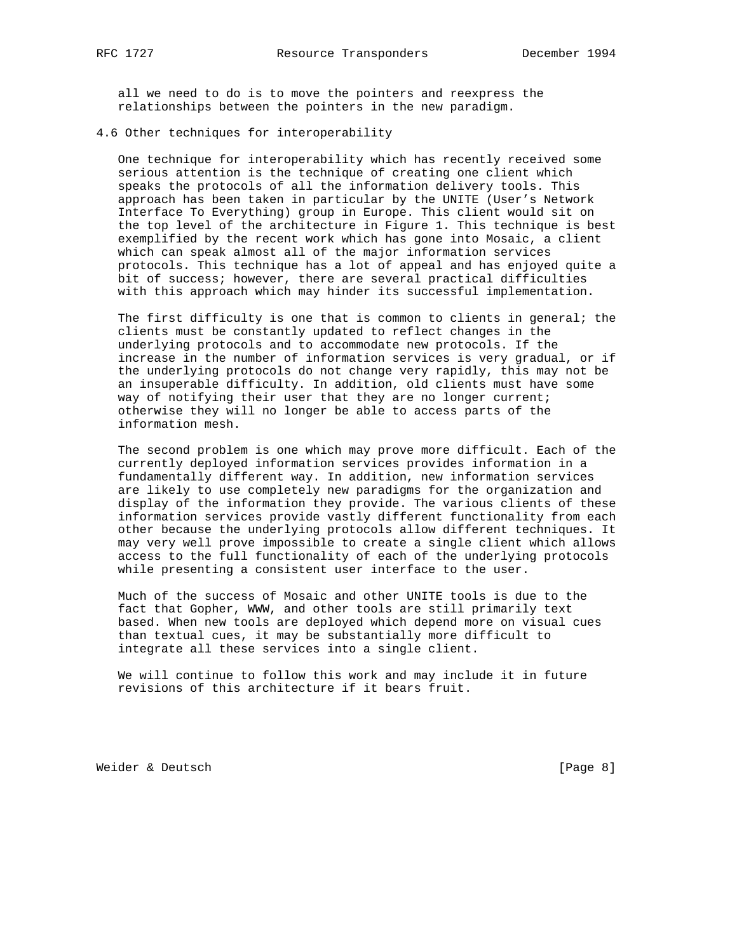all we need to do is to move the pointers and reexpress the relationships between the pointers in the new paradigm.

4.6 Other techniques for interoperability

 One technique for interoperability which has recently received some serious attention is the technique of creating one client which speaks the protocols of all the information delivery tools. This approach has been taken in particular by the UNITE (User's Network Interface To Everything) group in Europe. This client would sit on the top level of the architecture in Figure 1. This technique is best exemplified by the recent work which has gone into Mosaic, a client which can speak almost all of the major information services protocols. This technique has a lot of appeal and has enjoyed quite a bit of success; however, there are several practical difficulties with this approach which may hinder its successful implementation.

 The first difficulty is one that is common to clients in general; the clients must be constantly updated to reflect changes in the underlying protocols and to accommodate new protocols. If the increase in the number of information services is very gradual, or if the underlying protocols do not change very rapidly, this may not be an insuperable difficulty. In addition, old clients must have some way of notifying their user that they are no longer current; otherwise they will no longer be able to access parts of the information mesh.

 The second problem is one which may prove more difficult. Each of the currently deployed information services provides information in a fundamentally different way. In addition, new information services are likely to use completely new paradigms for the organization and display of the information they provide. The various clients of these information services provide vastly different functionality from each other because the underlying protocols allow different techniques. It may very well prove impossible to create a single client which allows access to the full functionality of each of the underlying protocols while presenting a consistent user interface to the user.

 Much of the success of Mosaic and other UNITE tools is due to the fact that Gopher, WWW, and other tools are still primarily text based. When new tools are deployed which depend more on visual cues than textual cues, it may be substantially more difficult to integrate all these services into a single client.

 We will continue to follow this work and may include it in future revisions of this architecture if it bears fruit.

Weider & Deutsch [Page 8]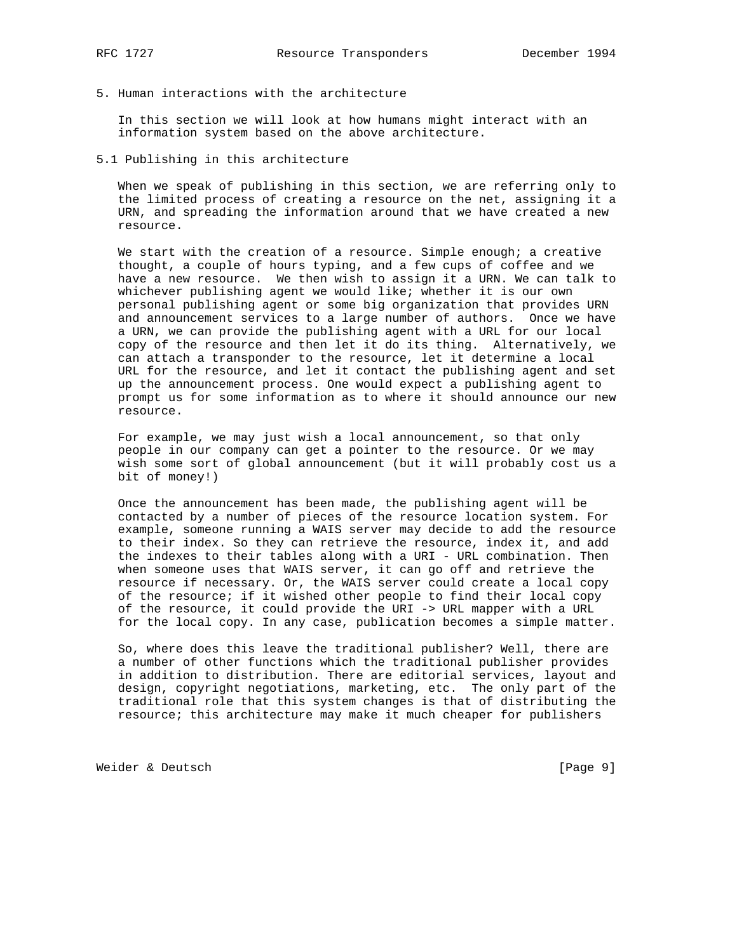5. Human interactions with the architecture

 In this section we will look at how humans might interact with an information system based on the above architecture.

5.1 Publishing in this architecture

 When we speak of publishing in this section, we are referring only to the limited process of creating a resource on the net, assigning it a URN, and spreading the information around that we have created a new resource.

We start with the creation of a resource. Simple enough; a creative thought, a couple of hours typing, and a few cups of coffee and we have a new resource. We then wish to assign it a URN. We can talk to whichever publishing agent we would like; whether it is our own personal publishing agent or some big organization that provides URN and announcement services to a large number of authors. Once we have a URN, we can provide the publishing agent with a URL for our local copy of the resource and then let it do its thing. Alternatively, we can attach a transponder to the resource, let it determine a local URL for the resource, and let it contact the publishing agent and set up the announcement process. One would expect a publishing agent to prompt us for some information as to where it should announce our new resource.

 For example, we may just wish a local announcement, so that only people in our company can get a pointer to the resource. Or we may wish some sort of global announcement (but it will probably cost us a bit of money!)

 Once the announcement has been made, the publishing agent will be contacted by a number of pieces of the resource location system. For example, someone running a WAIS server may decide to add the resource to their index. So they can retrieve the resource, index it, and add the indexes to their tables along with a URI - URL combination. Then when someone uses that WAIS server, it can go off and retrieve the resource if necessary. Or, the WAIS server could create a local copy of the resource; if it wished other people to find their local copy of the resource, it could provide the URI -> URL mapper with a URL for the local copy. In any case, publication becomes a simple matter.

 So, where does this leave the traditional publisher? Well, there are a number of other functions which the traditional publisher provides in addition to distribution. There are editorial services, layout and design, copyright negotiations, marketing, etc. The only part of the traditional role that this system changes is that of distributing the resource; this architecture may make it much cheaper for publishers

Weider & Deutsch [Page 9]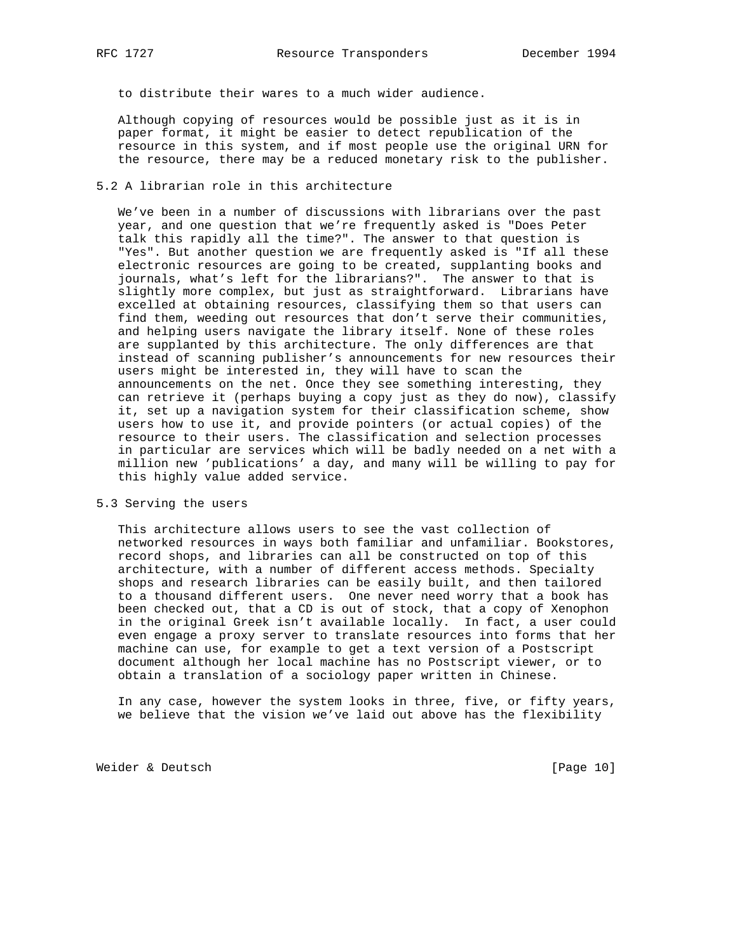to distribute their wares to a much wider audience.

 Although copying of resources would be possible just as it is in paper format, it might be easier to detect republication of the resource in this system, and if most people use the original URN for the resource, there may be a reduced monetary risk to the publisher.

## 5.2 A librarian role in this architecture

 We've been in a number of discussions with librarians over the past year, and one question that we're frequently asked is "Does Peter talk this rapidly all the time?". The answer to that question is "Yes". But another question we are frequently asked is "If all these electronic resources are going to be created, supplanting books and journals, what's left for the librarians?". The answer to that is slightly more complex, but just as straightforward. Librarians have excelled at obtaining resources, classifying them so that users can find them, weeding out resources that don't serve their communities, and helping users navigate the library itself. None of these roles are supplanted by this architecture. The only differences are that instead of scanning publisher's announcements for new resources their users might be interested in, they will have to scan the announcements on the net. Once they see something interesting, they can retrieve it (perhaps buying a copy just as they do now), classify it, set up a navigation system for their classification scheme, show users how to use it, and provide pointers (or actual copies) of the resource to their users. The classification and selection processes in particular are services which will be badly needed on a net with a million new 'publications' a day, and many will be willing to pay for this highly value added service.

#### 5.3 Serving the users

 This architecture allows users to see the vast collection of networked resources in ways both familiar and unfamiliar. Bookstores, record shops, and libraries can all be constructed on top of this architecture, with a number of different access methods. Specialty shops and research libraries can be easily built, and then tailored to a thousand different users. One never need worry that a book has been checked out, that a CD is out of stock, that a copy of Xenophon in the original Greek isn't available locally. In fact, a user could even engage a proxy server to translate resources into forms that her machine can use, for example to get a text version of a Postscript document although her local machine has no Postscript viewer, or to obtain a translation of a sociology paper written in Chinese.

 In any case, however the system looks in three, five, or fifty years, we believe that the vision we've laid out above has the flexibility

Weider & Deutsch [Page 10]